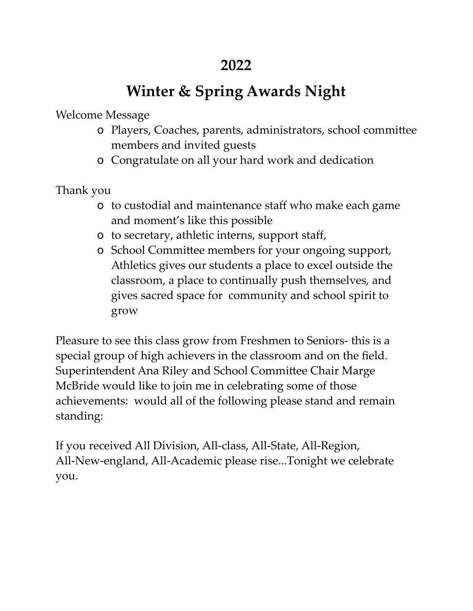# **Winter & Spring Awards Night**

Welcome Message

- o Players, Coaches, parents, administrators, school committee members and invited guests
- o Congratulate on all your hard work and dedication

Thank you

- o to custodial and maintenance staff who make each game and moment's like this possible
- o to secretary, athletic interns, support staff,
- o School Committee members for your ongoing support, Athletics gives our students a place to excel outside the classroom, a place to continually push themselves, and gives sacred space for community and school spirit to grow

Pleasure to see this class grow from Freshmen to Seniors- this is a special group of high achievers in the classroom and on the field. Superintendent Ana Riley and School Committee Chair Marge McBride would like to join me in celebrating some of those achievements: would all of the following please stand and remain standing:

If you received All Division, All-class, All-State, All-Region, All-New-england, All-Academic please rise...Tonight we celebrate you.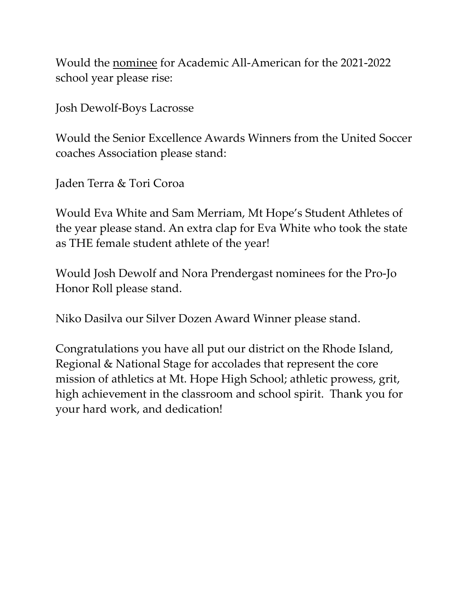Would the nominee for Academic All-American for the 2021-2022 school year please rise:

Josh Dewolf-Boys Lacrosse

Would the Senior Excellence Awards Winners from the United Soccer coaches Association please stand:

Jaden Terra & Tori Coroa

Would Eva White and Sam Merriam, Mt Hope's Student Athletes of the year please stand. An extra clap for Eva White who took the state as THE female student athlete of the year!

Would Josh Dewolf and Nora Prendergast nominees for the Pro-Jo Honor Roll please stand.

Niko Dasilva our Silver Dozen Award Winner please stand.

Congratulations you have all put our district on the Rhode Island, Regional & National Stage for accolades that represent the core mission of athletics at Mt. Hope High School; athletic prowess, grit, high achievement in the classroom and school spirit. Thank you for your hard work, and dedication!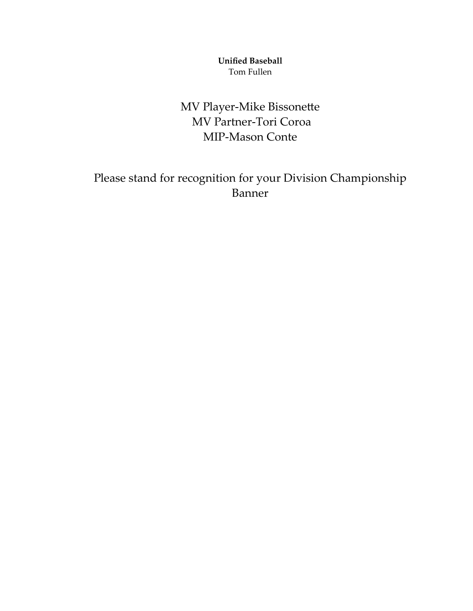**Unified Baseball** Tom Fullen

MV Player-Mike Bissonette MV Partner-Tori Coroa MIP-Mason Conte

Please stand for recognition for your Division Championship Banner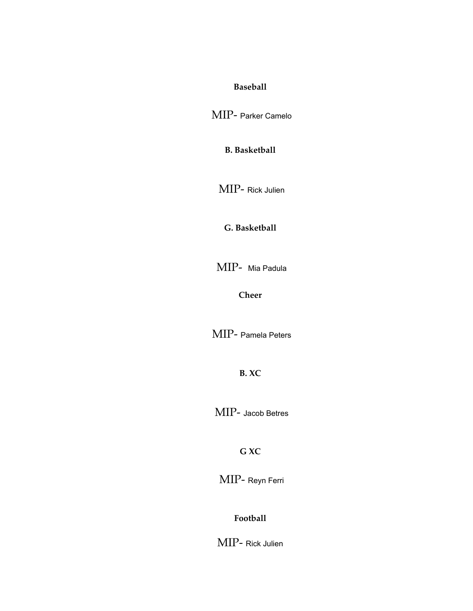#### **Baseball**

MIP- Parker Camelo

**B. Basketball**

MIP- Rick Julien

**G. Basketball**

MIP- Mia Padula

**Cheer**

MIP- Pamela Peters

**B. XC**

MIP- Jacob Betres

**G XC**

MIP- Reyn Ferri

**Football**

MIP- Rick Julien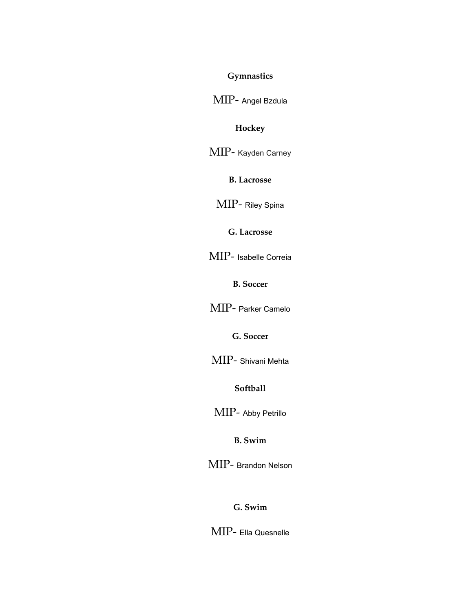#### **Gymnastics**

MIP- Angel Bzdula

#### **Hockey**

MIP- Kayden Carney

**B. Lacrosse**

MIP- Riley Spina

**G. Lacrosse**

MIP- Isabelle Correia

**B. Soccer**

MIP- Parker Camelo

**G. Soccer**

MIP- Shivani Mehta

**Softball**

MIP- Abby Petrillo

**B. Swim**

MIP- Brandon Nelson

**G. Swim**

MIP- Ella Quesnelle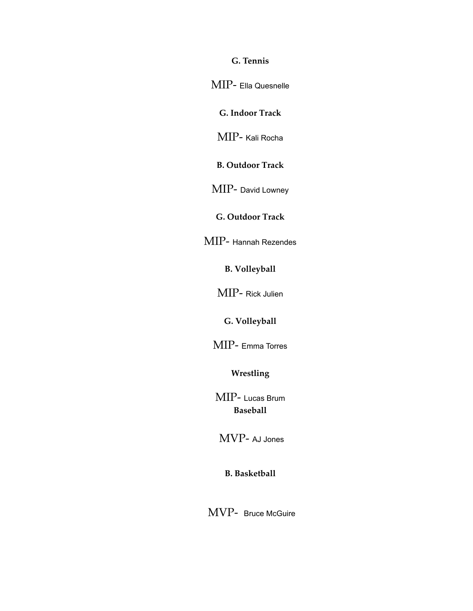**G. Tennis**

MIP- Ella Quesnelle

**G. Indoor Track**

MIP- Kali Rocha

**B. Outdoor Track**

MIP- David Lowney

**G. Outdoor Track**

MIP- Hannah Rezendes

**B. Volleyball**

MIP- Rick Julien

**G. Volleyball**

MIP- Emma Torres

**Wrestling**

MIP- Lucas Brum **Baseball**

MVP- AJ Jones

**B. Basketball**

MVP- Bruce McGuire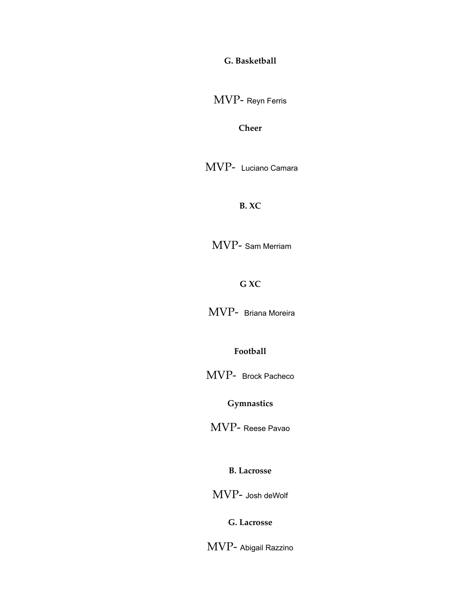**G. Basketball**

MVP- Reyn Ferris

**Cheer**

MVP- Luciano Camara

**B. XC**

MVP- Sam Merriam

**G XC**

MVP- Briana Moreira

**Football**

MVP- Brock Pacheco

**Gymnastics**

MVP- Reese Pavao

**B. Lacrosse**

MVP- Josh deWolf

**G. Lacrosse**

MVP- Abigail Razzino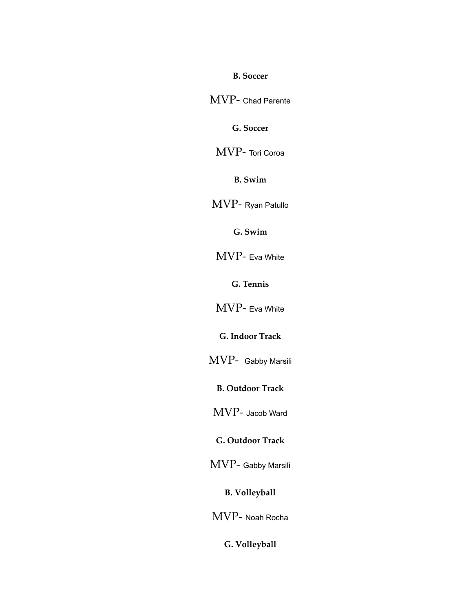**B. Soccer**

MVP- Chad Parente

**G. Soccer**

MVP- Tori Coroa

**B. Swim**

MVP- Ryan Patullo

**G. Swim**

MVP- Eva White

**G. Tennis**

MVP- Eva White

**G. Indoor Track**

MVP- Gabby Marsili

**B. Outdoor Track**

MVP- Jacob Ward

**G. Outdoor Track**

MVP- Gabby Marsili

**B. Volleyball**

MVP- Noah Rocha

**G. Volleyball**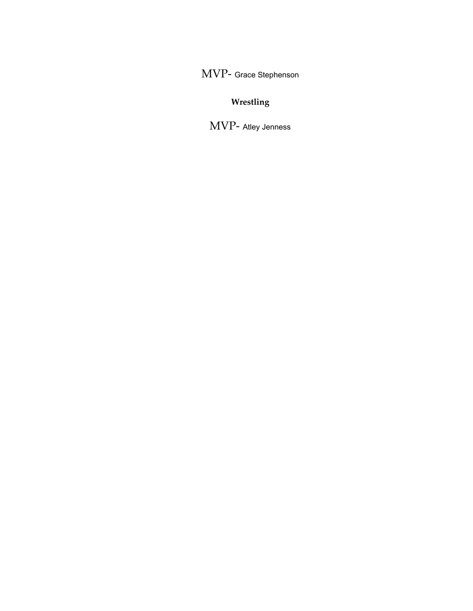MVP- Grace Stephenson

#### **Wrestling**

MVP- Atley Jenness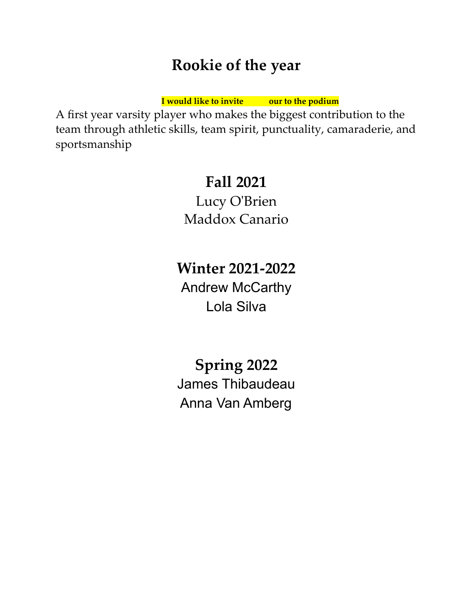## **Rookie of the year**

**I would like to invite our to the podium**

A first year varsity player who makes the biggest contribution to the team through athletic skills, team spirit, punctuality, camaraderie, and sportsmanship

## **Fall 2021**

Lucy O'Brien Maddox Canario

**Winter 2021-2022** Andrew McCarthy Lola Silva

**Spring 2022** James Thibaudeau Anna Van Amberg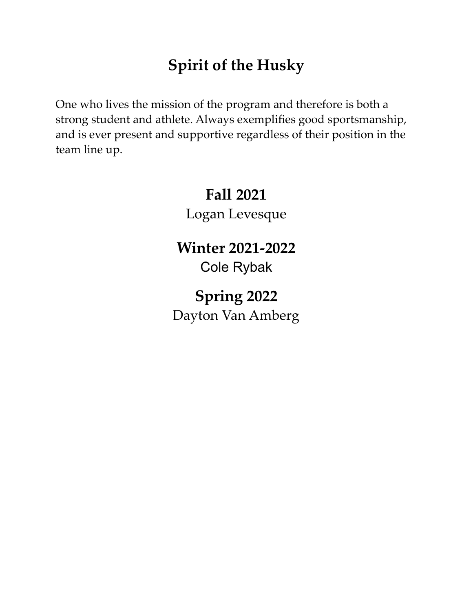# **Spirit of the Husky**

One who lives the mission of the program and therefore is both a strong student and athlete. Always exemplifies good sportsmanship, and is ever present and supportive regardless of their position in the team line up.

# **Fall 2021** Logan Levesque

**Winter 2021-2022** Cole Rybak

**Spring 2022** Dayton Van Amberg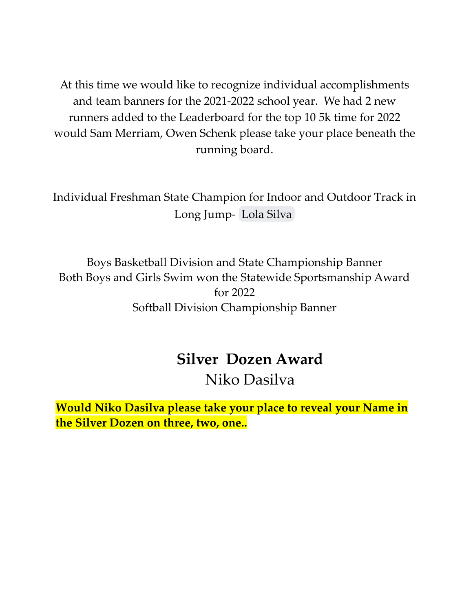At this time we would like to recognize individual accomplishments and team banners for the 2021-2022 school year. We had 2 new runners added to the Leaderboard for the top 10 5k time for 2022 would Sam Merriam, Owen Schenk please take your place beneath the running board.

Individual Freshman State Champion for Indoor and Outdoor Track in Long Jump- [Lola Silva](mailto:silval25@bwrsd.org)

Boys Basketball Division and State Championship Banner Both Boys and Girls Swim won the Statewide Sportsmanship Award for 2022 Softball Division Championship Banner

#### **Silver Dozen Award**

#### Niko Dasilva

**Would Niko Dasilva please take your place to reveal your Name in the Silver Dozen on three, two, one..**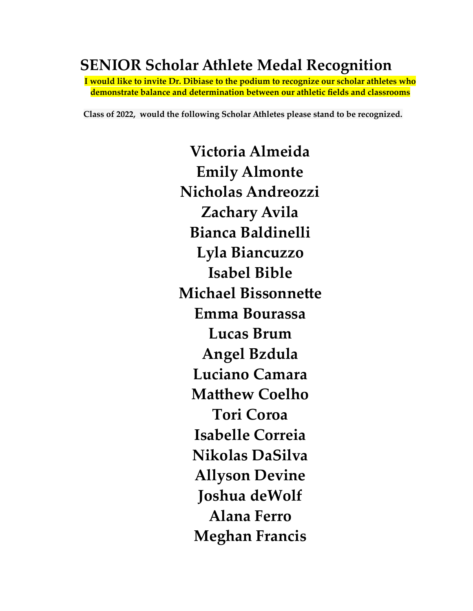## **SENIOR Scholar Athlete Medal Recognition**

**I would like to invite Dr. Dibiase to the podium to recognize our scholar athletes who demonstrate balance and determination between our athletic fields and classrooms**

**Class of 2022, would the following Scholar Athletes please stand to be recognized.**

**Victoria Almeida Emily Almonte Nicholas Andreozzi Zachary Avila Bianca Baldinelli Lyla Biancuzzo Isabel Bible Michael Bissonnette Emma Bourassa Lucas Brum Angel Bzdula Luciano Camara Matthew Coelho Tori Coroa Isabelle Correia Nikolas DaSilva Allyson Devine Joshua deWolf Alana Ferro Meghan Francis**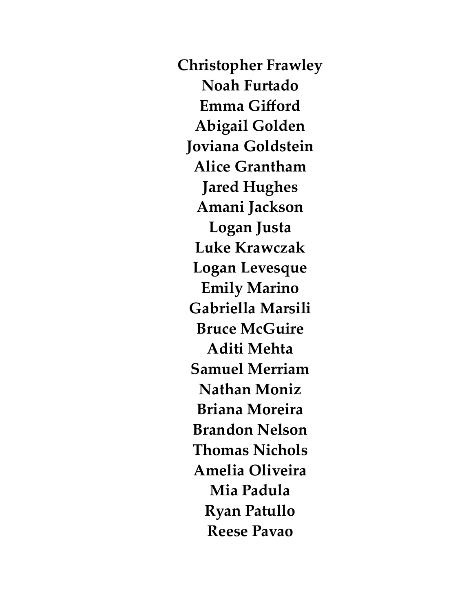**Christopher Frawley Noah Furtado Emma Gifford Abigail Golden Joviana Goldstein Alice Grantham Jared Hughes Amani Jackson Logan Justa Luke Krawczak Logan Levesque Emily Marino Gabriella Marsili Bruce McGuire Aditi Mehta Samuel Merriam Nathan Moniz Briana Moreira Brandon Nelson Thomas Nichols Amelia Oliveira Mia Padula Ryan Patullo Reese Pavao**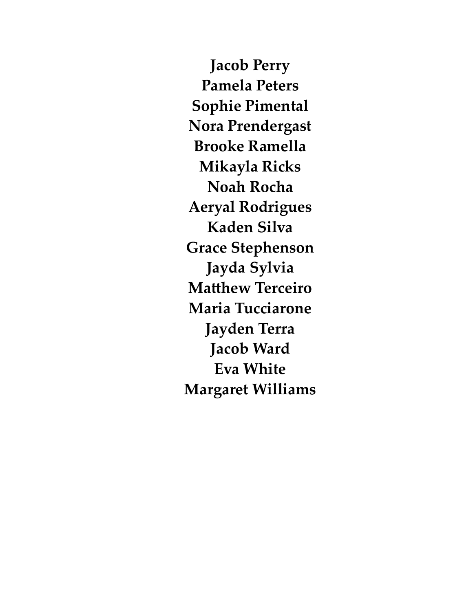**Jacob Perry Pamela Peters Sophie Pimental Nora Prendergast Brooke Ramella Mikayla Ricks Noah Rocha Aeryal Rodrigues Kaden Silva Grace Stephenson Jayda Sylvia Matthew Terceiro Maria Tucciarone Jayden Terra Jacob Ward Eva White Margaret Williams**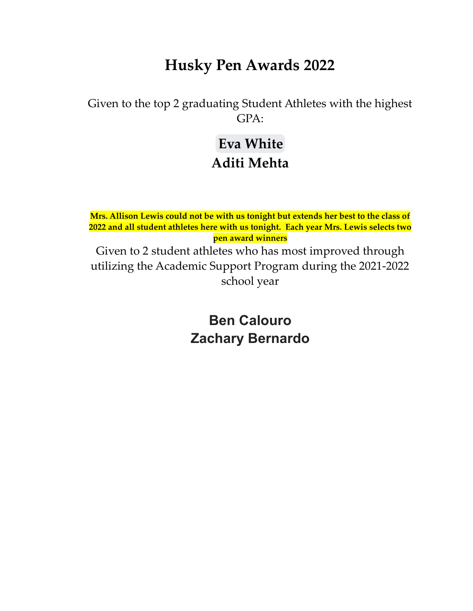### **Husky Pen Awards 2022**

Given to the top 2 graduating Student Athletes with the highest GPA:

## **[Eva White](mailto:whitee22@bwrsd.org) Aditi Mehta**

**Mrs. Allison Lewis could not be with us tonight but extends her best to the class of 2022 and all student athletes here with us tonight. Each year Mrs. Lewis selects two pen award winners** Given to 2 student athletes who has most improved through utilizing the Academic Support Program during the 2021-2022 school year

> **Ben Calouro Zachary Bernardo**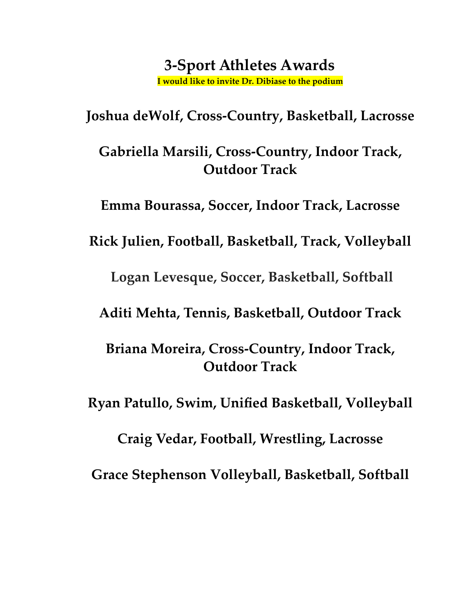#### **3-Sport Athletes Awards I would like to invite Dr. Dibiase to the podium**

**Joshua deWolf, Cross-Country, Basketball, Lacrosse**

**Gabriella Marsili, Cross-Country, Indoor Track, Outdoor Track**

**Emma Bourassa, Soccer, Indoor Track, Lacrosse**

**Rick Julien, Football, Basketball, Track, Volleyball**

**Logan Levesque, Soccer, Basketball, Softball**

**Aditi Mehta, Tennis, Basketball, Outdoor Track**

**Briana Moreira, Cross-Country, Indoor Track, Outdoor Track**

**Ryan Patullo, Swim, Unified Basketball, Volleyball**

**Craig Vedar, Football, Wrestling, Lacrosse Grace Stephenson Volleyball, Basketball, Softball**